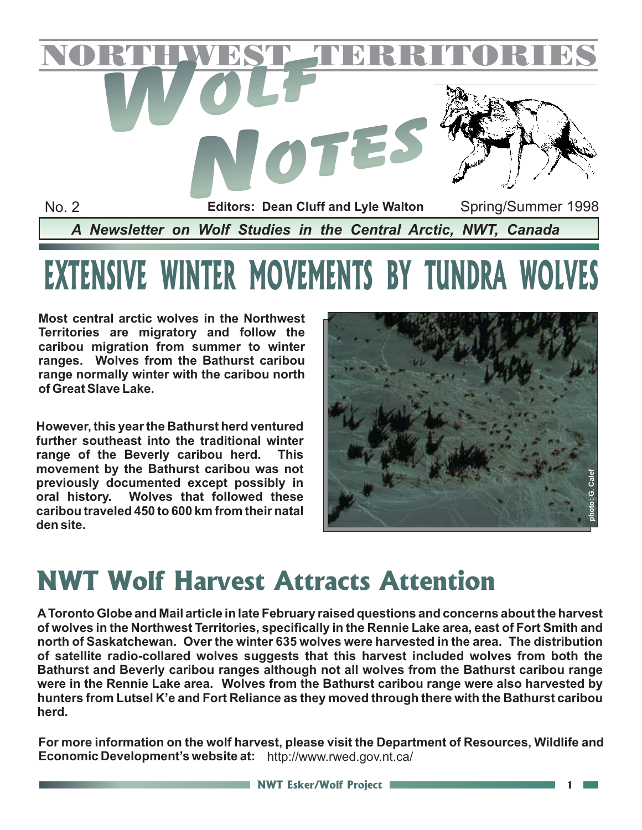

# **EXTENSIVE WINTER MOVEMENTS BY TUNDRA WOLVES**

**Most central arctic wolves in the Northwest Territories are migratory and follow the caribou migration from summer to winter ranges. Wolves from the Bathurst caribou range normally winter with the caribou north of Great Slave Lake.**

**However, this year the Bathurst herd ventured further southeast into the traditional winter range of the Beverly caribou herd. This movement by the Bathurst caribou was not previously documented except possibly in oral history. Wolves that followed these caribou traveled 450 to 600 km from their natal den site.**



### **NWT Wolf Harvest Attracts Attention**

**AToronto Globe and Mail article in late February raised questions and concerns about the harvest of wolves in the Northwest Territories, specifically in the Rennie Lake area, east of Fort Smith and north of Saskatchewan. Over the winter 635 wolves were harvested in the area. The distribution of satellite radio-collared wolves suggests that this harvest included wolves from both the Bathurst and Beverly caribou ranges although not all wolves from the Bathurst caribou range were in the Rennie Lake area. Wolves from the Bathurst caribou range were also harvested by hunters from Lutsel K'e and Fort Reliance as they moved through there with the Bathurst caribou herd.**

**For more information on the wolf harvest, please visit the Department of Resources, Wildlife and Economic Development's website at:** http://www.rwed.gov.nt.ca/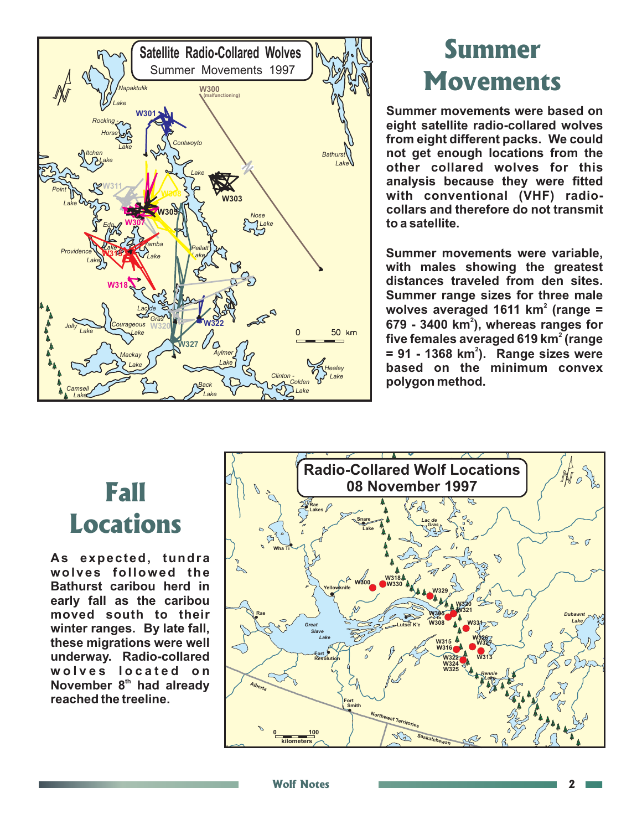

# **Movements**

**Summer movements were based on eight satellite radio-collared wolves from eight different packs. We could not get enough locations from the other collared wolves for this analysis because they were fitted with conventional (VHF) radiocollars and therefore do not transmit to a satellite.**

**Summer movements were variable, with males showing the greatest distances traveled from den sites. Summer range sizes for three male** wolves averaged 1611 km $^{\text{2}}$  (range = **679 - 3400 km ), whereas ranges for 2** five females averaged 619 km $^{\rm 2}$  (range = 91 - 1368 km<sup>2</sup>). Range sizes were **based on the minimum convex polygon method.**

## **Fall Locations**

**As expected, tundra wolves followed the Bathurst caribou herd in early fall as the caribou moved south to their winter ranges. By late fall, these migrations were well underway. Radio-collared wolves located on November 8<sup>th</sup> had already reached the treeline.**

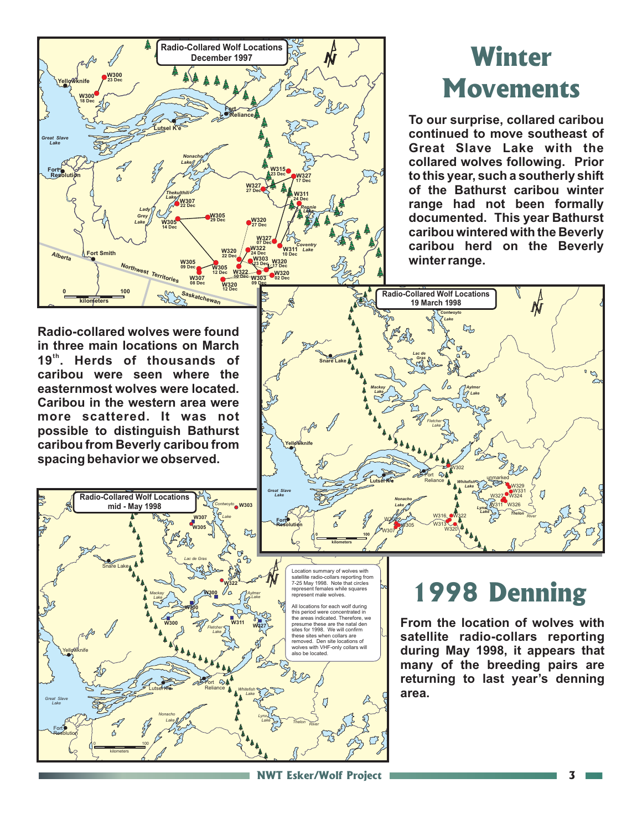

٦